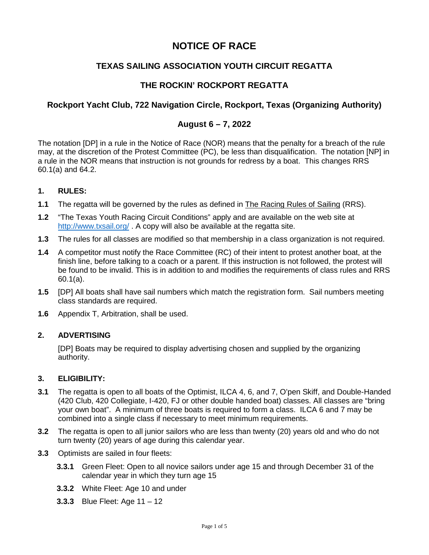# **NOTICE OF RACE**

# **TEXAS SAILING ASSOCIATION YOUTH CIRCUIT REGATTA**

# **THE ROCKIN' ROCKPORT REGATTA**

# **Rockport Yacht Club, 722 Navigation Circle, Rockport, Texas (Organizing Authority)**

## **August 6 – 7, 2022**

The notation [DP] in a rule in the Notice of Race (NOR) means that the penalty for a breach of the rule may, at the discretion of the Protest Committee (PC), be less than disqualification. The notation [NP] in a rule in the NOR means that instruction is not grounds for redress by a boat. This changes RRS 60.1(a) and 64.2.

### **1. RULES:**

- **1.1** The regatta will be governed by the rules as defined in The Racing Rules of Sailing (RRS).
- **1.2** "The Texas Youth Racing Circuit Conditions" apply and are available on the web site at <http://www.txsail.org/> . A copy will also be available at the regatta site.
- **1.3** The rules for all classes are modified so that membership in a class organization is not required.
- **1.4** A competitor must notify the Race Committee (RC) of their intent to protest another boat, at the finish line, before talking to a coach or a parent. If this instruction is not followed, the protest will be found to be invalid. This is in addition to and modifies the requirements of class rules and RRS 60.1(a).
- **1.5** [DP] All boats shall have sail numbers which match the registration form. Sail numbers meeting class standards are required.
- **1.6** Appendix T, Arbitration, shall be used.

### **2. ADVERTISING**

[DP] Boats may be required to display advertising chosen and supplied by the organizing authority.

#### **3. ELIGIBILITY:**

- **3.1** The regatta is open to all boats of the Optimist, ILCA 4, 6, and 7, O'pen Skiff, and Double-Handed (420 Club, 420 Collegiate, I-420, FJ or other double handed boat) classes. All classes are "bring your own boat". A minimum of three boats is required to form a class. ILCA 6 and 7 may be combined into a single class if necessary to meet minimum requirements.
- **3.2** The regatta is open to all junior sailors who are less than twenty (20) years old and who do not turn twenty (20) years of age during this calendar year.
- **3.3** Optimists are sailed in four fleets:
	- **3.3.1** Green Fleet: Open to all novice sailors under age 15 and through December 31 of the calendar year in which they turn age 15
	- **3.3.2** White Fleet: Age 10 and under
	- **3.3.3** Blue Fleet: Age 11 12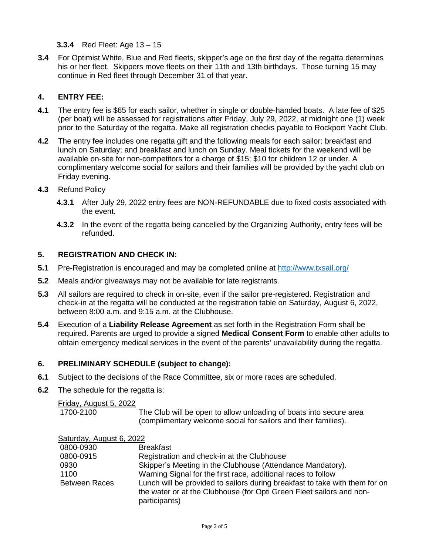## **3.3.4** Red Fleet: Age 13 – 15

**3.4** For Optimist White, Blue and Red fleets, skipper's age on the first day of the regatta determines his or her fleet. Skippers move fleets on their 11th and 13th birthdays. Those turning 15 may continue in Red fleet through December 31 of that year.

## **4. ENTRY FEE:**

- **4.1** The entry fee is \$65 for each sailor, whether in single or double-handed boats. A late fee of \$25 (per boat) will be assessed for registrations after Friday, July 29, 2022, at midnight one (1) week prior to the Saturday of the regatta. Make all registration checks payable to Rockport Yacht Club.
- **4.2** The entry fee includes one regatta gift and the following meals for each sailor: breakfast and lunch on Saturday; and breakfast and lunch on Sunday. Meal tickets for the weekend will be available on-site for non-competitors for a charge of \$15; \$10 for children 12 or under. A complimentary welcome social for sailors and their families will be provided by the yacht club on Friday evening.
- **4.3** Refund Policy
	- **4.3.1** After July 29, 2022 entry fees are NON-REFUNDABLE due to fixed costs associated with the event.
	- **4.3.2** In the event of the regatta being cancelled by the Organizing Authority, entry fees will be refunded.

## **5. REGISTRATION AND CHECK IN:**

- **5.1** Pre-Registration is encouraged and may be completed online at<http://www.txsail.org/>
- **5.2** Meals and/or giveaways may not be available for late registrants.
- **5.3** All sailors are required to check in on-site, even if the sailor pre-registered. Registration and check-in at the regatta will be conducted at the registration table on Saturday, August 6, 2022, between 8:00 a.m. and 9:15 a.m. at the Clubhouse.
- **5.4** Execution of a **Liability Release Agreement** as set forth in the Registration Form shall be required. Parents are urged to provide a signed **Medical Consent Form** to enable other adults to obtain emergency medical services in the event of the parents' unavailability during the regatta.

### **6. PRELIMINARY SCHEDULE (subject to change):**

- **6.1** Subject to the decisions of the Race Committee, six or more races are scheduled.
- **6.2** The schedule for the regatta is:

Friday, August 5, 2022

1700-2100 The Club will be open to allow unloading of boats into secure area (complimentary welcome social for sailors and their families).

| Saturday, August 6, 2022 |                                                                                                                                                                      |
|--------------------------|----------------------------------------------------------------------------------------------------------------------------------------------------------------------|
| 0800-0930                | <b>Breakfast</b>                                                                                                                                                     |
| 0800-0915                | Registration and check-in at the Clubhouse                                                                                                                           |
| 0930                     | Skipper's Meeting in the Clubhouse (Attendance Mandatory).                                                                                                           |
| 1100                     | Warning Signal for the first race, additional races to follow                                                                                                        |
| <b>Between Races</b>     | Lunch will be provided to sailors during breakfast to take with them for on<br>the water or at the Clubhouse (for Opti Green Fleet sailors and non-<br>participants) |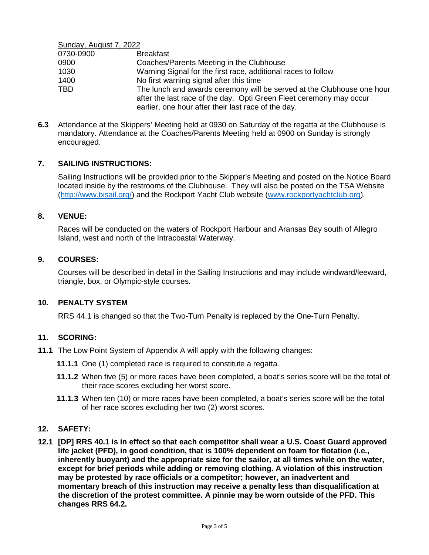Sunday, August 7, 2022

| 0730-0900  | <b>Breakfast</b>                                                       |
|------------|------------------------------------------------------------------------|
| 0900       | Coaches/Parents Meeting in the Clubhouse                               |
| 1030       | Warning Signal for the first race, additional races to follow          |
| 1400       | No first warning signal after this time                                |
| <b>TBD</b> | The lunch and awards ceremony will be served at the Clubhouse one hour |
|            | after the last race of the day. Opti Green Fleet ceremony may occur    |
|            | earlier, one hour after their last race of the day.                    |

**6.3** Attendance at the Skippers' Meeting held at 0930 on Saturday of the regatta at the Clubhouse is mandatory. Attendance at the Coaches/Parents Meeting held at 0900 on Sunday is strongly encouraged.

### **7. SAILING INSTRUCTIONS:**

Sailing Instructions will be provided prior to the Skipper's Meeting and posted on the Notice Board located inside by the restrooms of the Clubhouse. They will also be posted on the TSA Website [\(http://www.txsail.org/\)](http://www.txsail.org/) and the Rockport Yacht Club website [\(www.rockportyachtclub.org\)](http://www.rockportyachtclub.org/TSA_Youth_Regatta.php).

#### **8. VENUE:**

Races will be conducted on the waters of Rockport Harbour and Aransas Bay south of Allegro Island, west and north of the Intracoastal Waterway.

#### **9. COURSES:**

Courses will be described in detail in the Sailing Instructions and may include windward/leeward, triangle, box, or Olympic-style courses.

#### **10. PENALTY SYSTEM**

RRS 44.1 is changed so that the Two-Turn Penalty is replaced by the One-Turn Penalty.

#### **11. SCORING:**

- **11.1** The Low Point System of Appendix A will apply with the following changes:
	- **11.1.1** One (1) completed race is required to constitute a regatta.
	- **11.1.2** When five (5) or more races have been completed, a boat's series score will be the total of their race scores excluding her worst score.
	- **11.1.3** When ten (10) or more races have been completed, a boat's series score will be the total of her race scores excluding her two (2) worst scores.

#### **12. SAFETY:**

**12.1 [DP] RRS 40.1 is in effect so that each competitor shall wear a U.S. Coast Guard approved life jacket (PFD), in good condition, that is 100% dependent on foam for flotation (i.e., inherently buoyant) and the appropriate size for the sailor, at all times while on the water, except for brief periods while adding or removing clothing. A violation of this instruction may be protested by race officials or a competitor; however, an inadvertent and momentary breach of this instruction may receive a penalty less than disqualification at the discretion of the protest committee. A pinnie may be worn outside of the PFD. This changes RRS 64.2.**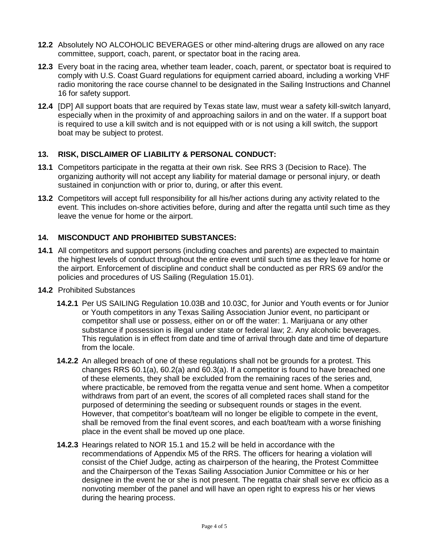- **12.2** Absolutely NO ALCOHOLIC BEVERAGES or other mind-altering drugs are allowed on any race committee, support, coach, parent, or spectator boat in the racing area.
- **12.3** Every boat in the racing area, whether team leader, coach, parent, or spectator boat is required to comply with U.S. Coast Guard regulations for equipment carried aboard, including a working VHF radio monitoring the race course channel to be designated in the Sailing Instructions and Channel 16 for safety support.
- **12.4** [DP] All support boats that are required by Texas state law, must wear a safety kill-switch lanyard, especially when in the proximity of and approaching sailors in and on the water. If a support boat is required to use a kill switch and is not equipped with or is not using a kill switch, the support boat may be subject to protest.

## **13. RISK, DISCLAIMER OF LIABILITY & PERSONAL CONDUCT:**

- **13.1** Competitors participate in the regatta at their own risk. See RRS 3 (Decision to Race). The organizing authority will not accept any liability for material damage or personal injury, or death sustained in conjunction with or prior to, during, or after this event.
- **13.2** Competitors will accept full responsibility for all his/her actions during any activity related to the event. This includes on-shore activities before, during and after the regatta until such time as they leave the venue for home or the airport.

# **14. MISCONDUCT AND PROHIBITED SUBSTANCES:**

- **14.1** All competitors and support persons (including coaches and parents) are expected to maintain the highest levels of conduct throughout the entire event until such time as they leave for home or the airport. Enforcement of discipline and conduct shall be conducted as per RRS 69 and/or the policies and procedures of US Sailing (Regulation 15.01).
- **14.2** Prohibited Substances
	- **14.2.1** Per US SAILING Regulation 10.03B and 10.03C, for Junior and Youth events or for Junior or Youth competitors in any Texas Sailing Association Junior event, no participant or competitor shall use or possess, either on or off the water: 1. Marijuana or any other substance if possession is illegal under state or federal law; 2. Any alcoholic beverages. This regulation is in effect from date and time of arrival through date and time of departure from the locale.
	- **14.2.2** An alleged breach of one of these regulations shall not be grounds for a protest. This changes RRS 60.1(a), 60.2(a) and 60.3(a). If a competitor is found to have breached one of these elements, they shall be excluded from the remaining races of the series and, where practicable, be removed from the regatta venue and sent home. When a competitor withdraws from part of an event, the scores of all completed races shall stand for the purposed of determining the seeding or subsequent rounds or stages in the event. However, that competitor's boat/team will no longer be eligible to compete in the event, shall be removed from the final event scores, and each boat/team with a worse finishing place in the event shall be moved up one place.
	- **14.2.3** Hearings related to NOR 15.1 and 15.2 will be held in accordance with the recommendations of Appendix M5 of the RRS. The officers for hearing a violation will consist of the Chief Judge, acting as chairperson of the hearing, the Protest Committee and the Chairperson of the Texas Sailing Association Junior Committee or his or her designee in the event he or she is not present. The regatta chair shall serve ex officio as a nonvoting member of the panel and will have an open right to express his or her views during the hearing process.